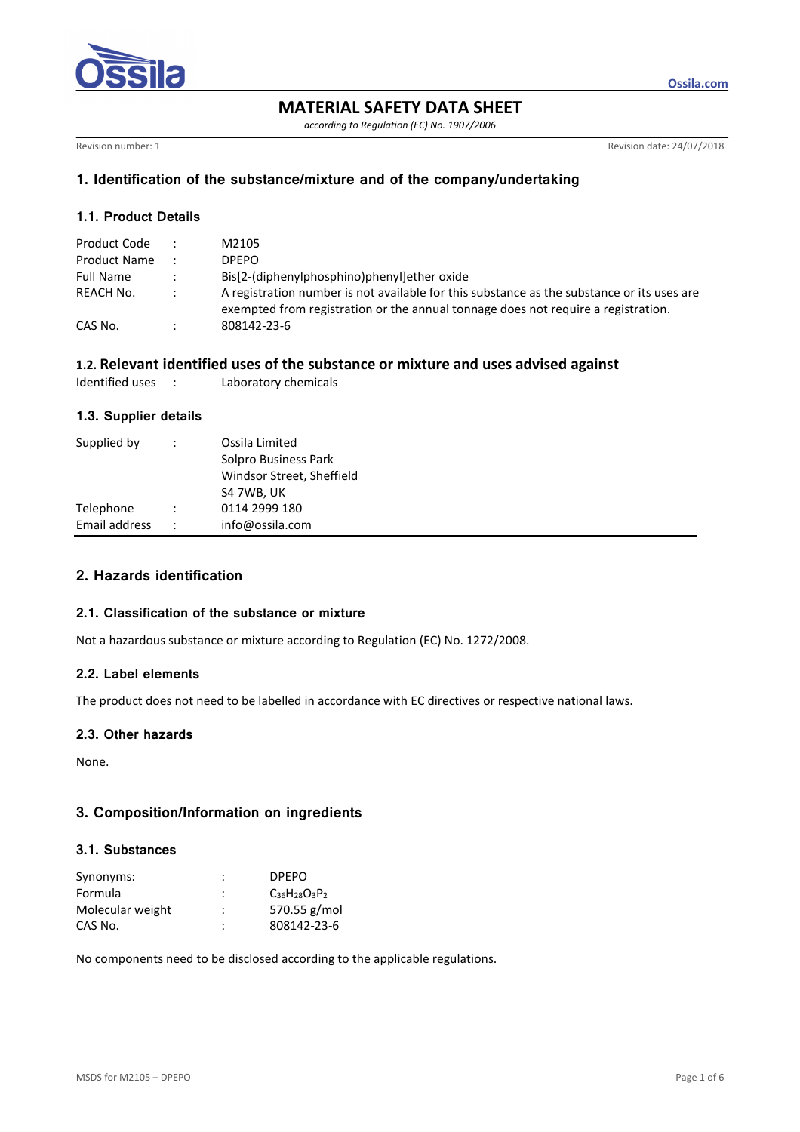

**MATERIAL SAFETY DATA SHEET** 

*according to Regulation (EC) No. 1907/2006* 

Revision number: 1 Revision date: 24/07/2018

**Ossila.com**

### **1. Identification of the substance/mixture and of the company/undertaking**

### **1.1. Product Details**

| Product Code |                      | M2105                                                                                                                                                                           |
|--------------|----------------------|---------------------------------------------------------------------------------------------------------------------------------------------------------------------------------|
| Product Name |                      | DPFPO.                                                                                                                                                                          |
| Full Name    |                      | Bis[2-(diphenylphosphino)phenyl]ether oxide                                                                                                                                     |
| REACH No.    | $\ddot{\phantom{0}}$ | A registration number is not available for this substance as the substance or its uses are<br>exempted from registration or the annual tonnage does not require a registration. |
| CAS No.      |                      | 808142-23-6                                                                                                                                                                     |

## **1.2. Relevant identified uses of the substance or mixture and uses advised against**

|  | Identified uses |  | Laboratory chemicals |  |
|--|-----------------|--|----------------------|--|
|--|-----------------|--|----------------------|--|

### **1.3. Supplier details**

| Supplied by   |                      | Ossila Limited<br>Solpro Business Park<br>Windsor Street, Sheffield<br>S4 7WB, UK |
|---------------|----------------------|-----------------------------------------------------------------------------------|
| Telephone     |                      | 0114 2999 180                                                                     |
| Email address | $\ddot{\phantom{0}}$ | info@ossila.com                                                                   |

# **2. Hazards identification**

## **2.1. Classification of the substance or mixture**

Not a hazardous substance or mixture according to Regulation (EC) No. 1272/2008.

## **2.2. Label elements**

The product does not need to be labelled in accordance with EC directives or respective national laws.

### **2.3. Other hazards**

None.

## **3. Composition/Information on ingredients**

### **3.1. Substances**

| Synonyms:        | :              | <b>DPEPO</b>         |
|------------------|----------------|----------------------|
| Formula          | ÷              | $C_{36}H_{28}O_3P_2$ |
| Molecular weight | :              | 570.55 g/mol         |
| CAS No.          | $\ddot{\cdot}$ | 808142-23-6          |

No components need to be disclosed according to the applicable regulations.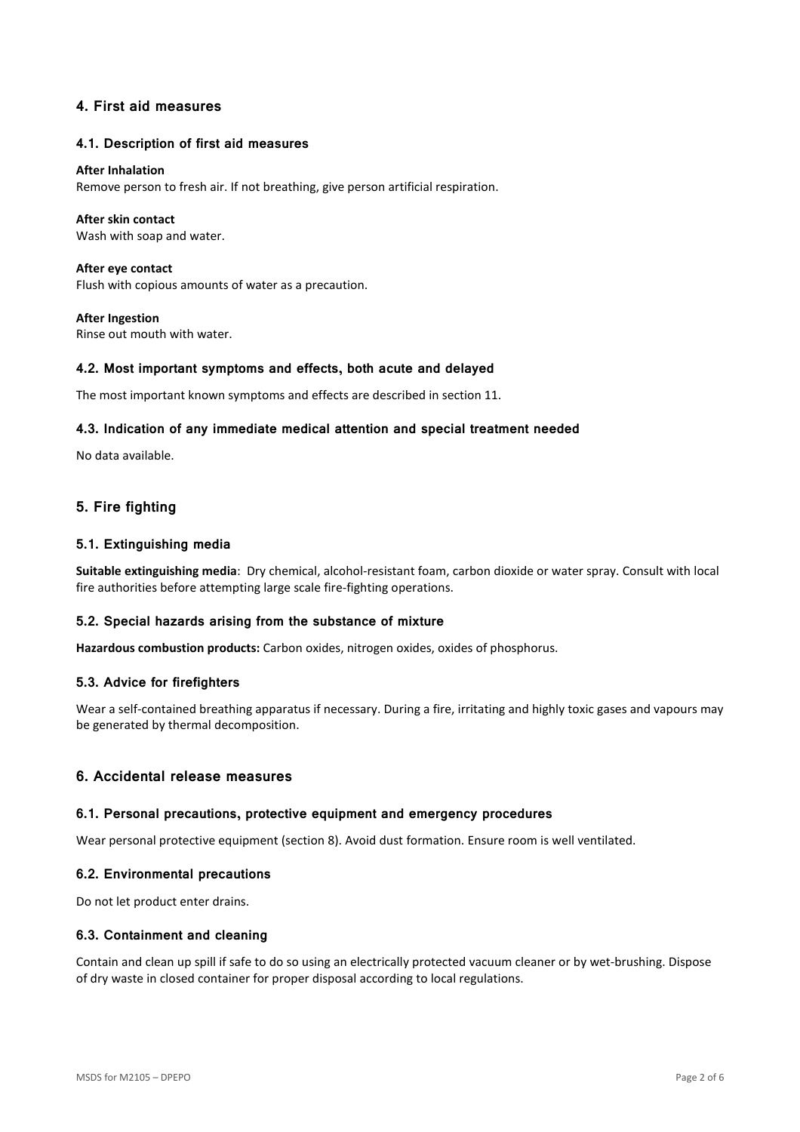## **4. First aid measures**

#### **4.1. Description of first aid measures**

#### **After Inhalation**

Remove person to fresh air. If not breathing, give person artificial respiration.

#### **After skin contact**

Wash with soap and water.

**After eye contact**  Flush with copious amounts of water as a precaution.

**After Ingestion**  Rinse out mouth with water.

#### **4.2. Most important symptoms and effects, both acute and delayed**

The most important known symptoms and effects are described in section 11.

#### **4.3. Indication of any immediate medical attention and special treatment needed**

No data available.

## **5. Fire fighting**

#### **5.1. Extinguishing media**

**Suitable extinguishing media**: Dry chemical, alcohol-resistant foam, carbon dioxide or water spray. Consult with local fire authorities before attempting large scale fire-fighting operations.

### **5.2. Special hazards arising from the substance of mixture**

**Hazardous combustion products:** Carbon oxides, nitrogen oxides, oxides of phosphorus.

#### **5.3. Advice for firefighters**

Wear a self-contained breathing apparatus if necessary. During a fire, irritating and highly toxic gases and vapours may be generated by thermal decomposition.

### **6. Accidental release measures**

#### **6.1. Personal precautions, protective equipment and emergency procedures**

Wear personal protective equipment (section 8). Avoid dust formation. Ensure room is well ventilated.

#### **6.2. Environmental precautions**

Do not let product enter drains.

#### **6.3. Containment and cleaning**

Contain and clean up spill if safe to do so using an electrically protected vacuum cleaner or by wet-brushing. Dispose of dry waste in closed container for proper disposal according to local regulations.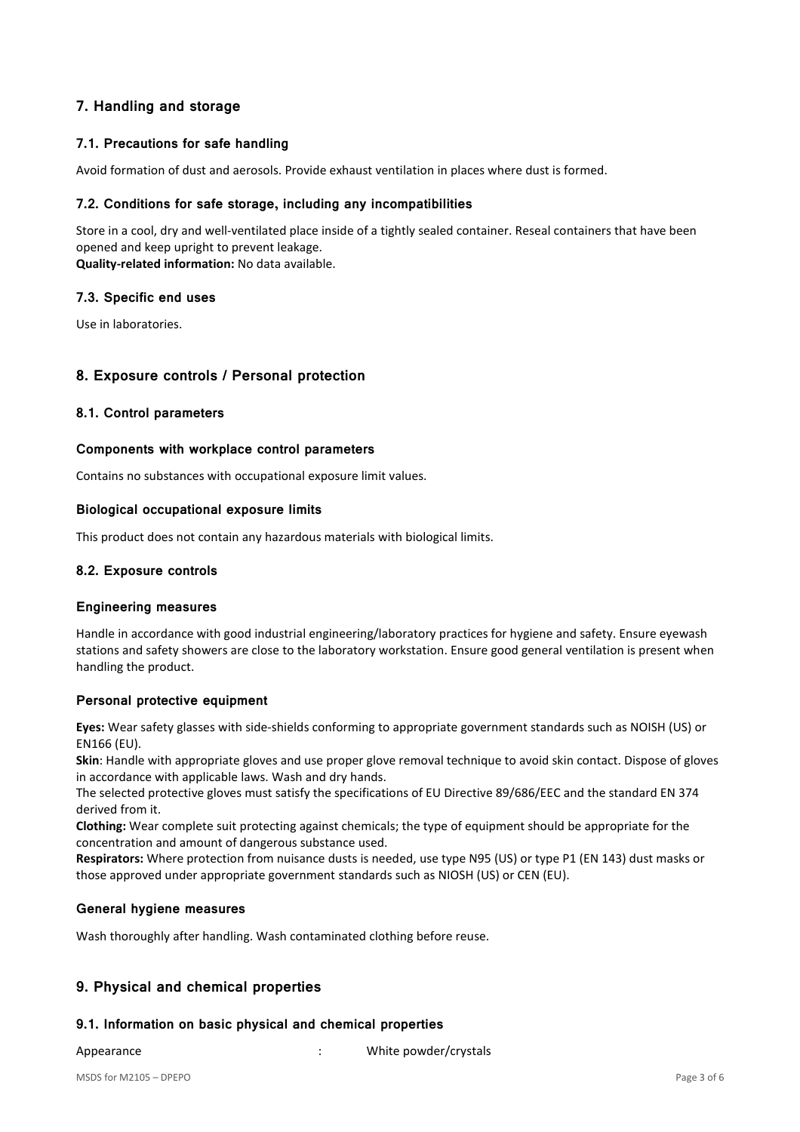# **7. Handling and storage**

## **7.1. Precautions for safe handling**

Avoid formation of dust and aerosols. Provide exhaust ventilation in places where dust is formed.

### **7.2. Conditions for safe storage, including any incompatibilities**

Store in a cool, dry and well-ventilated place inside of a tightly sealed container. Reseal containers that have been opened and keep upright to prevent leakage.

**Quality-related information:** No data available.

### **7.3. Specific end uses**

Use in laboratories.

### **8. Exposure controls / Personal protection**

### **8.1. Control parameters**

### **Components with workplace control parameters**

Contains no substances with occupational exposure limit values.

### **Biological occupational exposure limits**

This product does not contain any hazardous materials with biological limits.

### **8.2. Exposure controls**

### **Engineering measures**

Handle in accordance with good industrial engineering/laboratory practices for hygiene and safety. Ensure eyewash stations and safety showers are close to the laboratory workstation. Ensure good general ventilation is present when handling the product.

### **Personal protective equipment**

**Eyes:** Wear safety glasses with side-shields conforming to appropriate government standards such as NOISH (US) or EN166 (EU).

**Skin**: Handle with appropriate gloves and use proper glove removal technique to avoid skin contact. Dispose of gloves in accordance with applicable laws. Wash and dry hands.

The selected protective gloves must satisfy the specifications of EU Directive 89/686/EEC and the standard EN 374 derived from it.

**Clothing:** Wear complete suit protecting against chemicals; the type of equipment should be appropriate for the concentration and amount of dangerous substance used.

**Respirators:** Where protection from nuisance dusts is needed, use type N95 (US) or type P1 (EN 143) dust masks or those approved under appropriate government standards such as NIOSH (US) or CEN (EU).

### **General hygiene measures**

Wash thoroughly after handling. Wash contaminated clothing before reuse.

## **9. Physical and chemical properties**

### **9.1. Information on basic physical and chemical properties**

Appearance *i* Appearance *i* Appearance *i* Appearance *i*  $\cdot$  White powder/crystals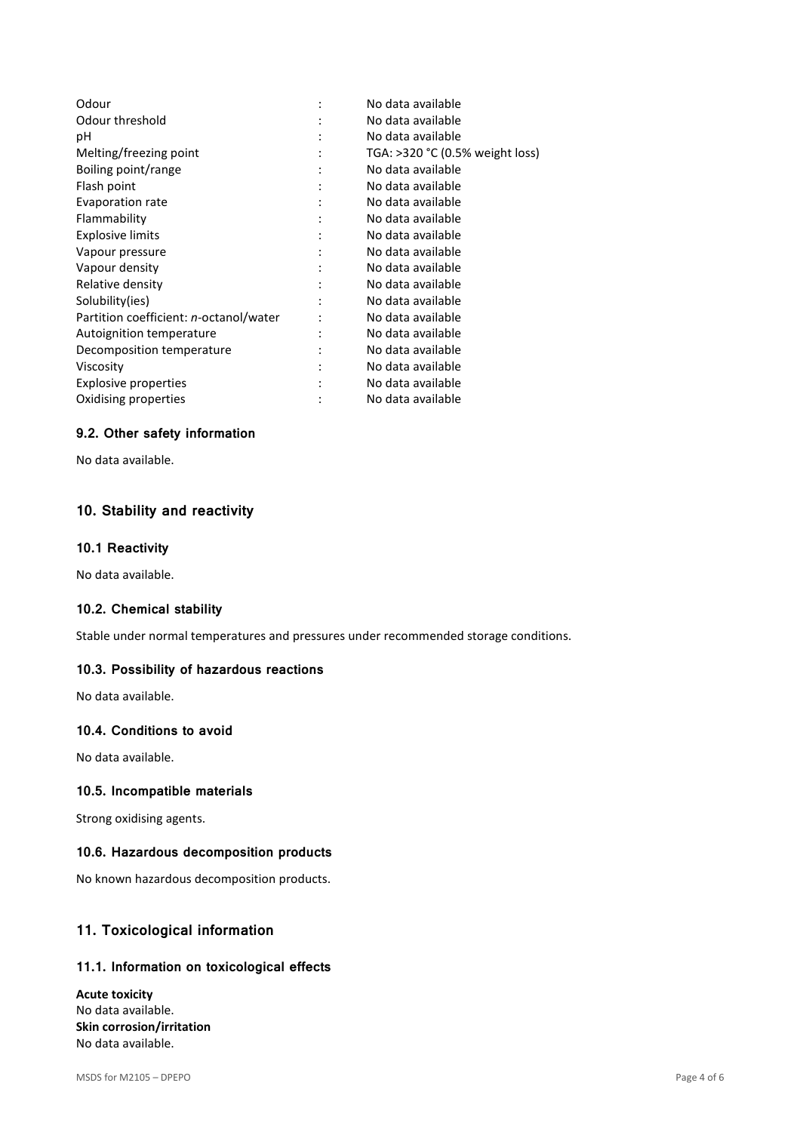|                | No data available                 |
|----------------|-----------------------------------|
|                | No data available                 |
|                | No data available                 |
| ٠              | TGA: $>320$ °C (0.5% weight loss) |
| ٠              | No data available                 |
|                | No data available                 |
|                | No data available                 |
|                | No data available                 |
|                | No data available                 |
|                | No data available                 |
|                | No data available                 |
|                | No data available                 |
|                | No data available                 |
| $\ddot{\cdot}$ | No data available                 |
| ٠              | No data available                 |
| $\ddot{\cdot}$ | No data available                 |
| ٠              | No data available                 |
|                | No data available                 |
|                | No data available                 |
|                |                                   |

## **9.2. Other safety information**

No data available.

# **10. Stability and reactivity**

#### **10.1 Reactivity**

No data available.

## **10.2. Chemical stability**

Stable under normal temperatures and pressures under recommended storage conditions.

#### **10.3. Possibility of hazardous reactions**

No data available.

## **10.4. Conditions to avoid**

No data available.

### **10.5. Incompatible materials**

Strong oxidising agents.

#### **10.6. Hazardous decomposition products**

No known hazardous decomposition products.

## **11. Toxicological information**

#### **11.1. Information on toxicological effects**

**Acute toxicity**  No data available. **Skin corrosion/irritation**  No data available.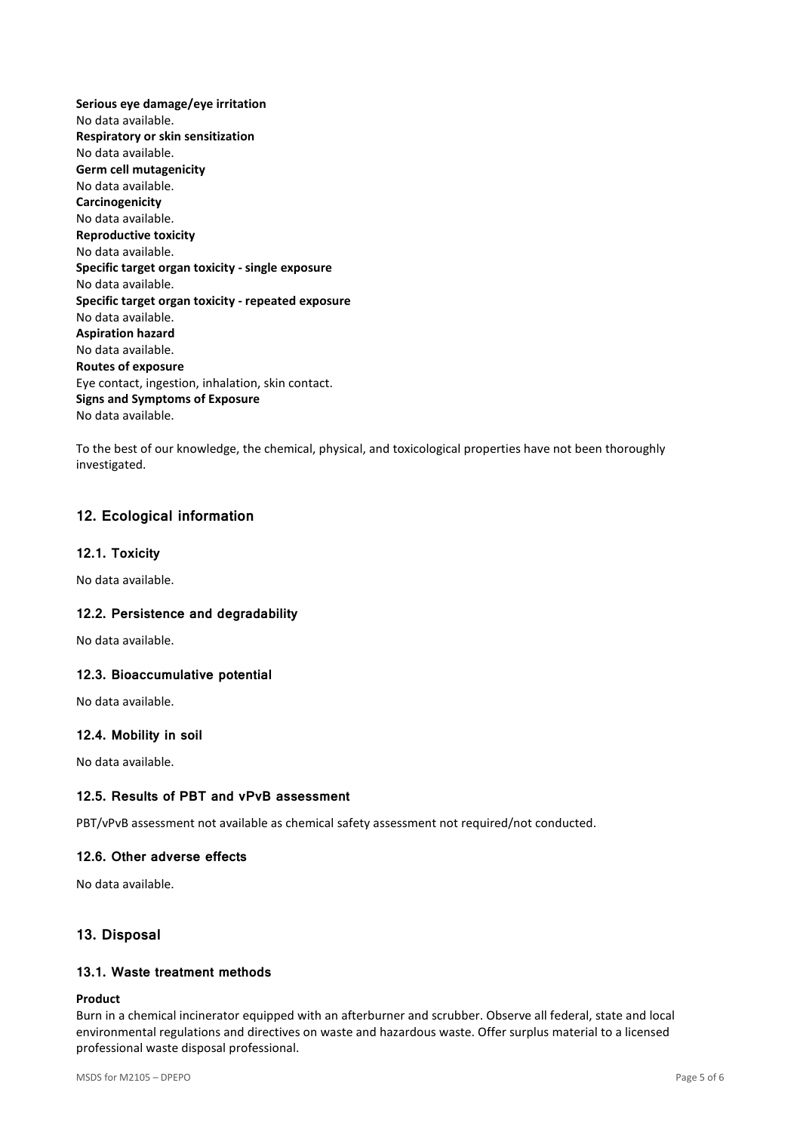**Serious eye damage/eye irritation**  No data available. **Respiratory or skin sensitization**  No data available. **Germ cell mutagenicity**  No data available. **Carcinogenicity**  No data available. **Reproductive toxicity**  No data available. **Specific target organ toxicity - single exposure**  No data available. **Specific target organ toxicity - repeated exposure**  No data available. **Aspiration hazard**  No data available. **Routes of exposure**  Eye contact, ingestion, inhalation, skin contact. **Signs and Symptoms of Exposure**  No data available.

To the best of our knowledge, the chemical, physical, and toxicological properties have not been thoroughly investigated.

## **12. Ecological information**

### **12.1. Toxicity**

No data available.

### **12.2. Persistence and degradability**

No data available.

### **12.3. Bioaccumulative potential**

No data available.

### **12.4. Mobility in soil**

No data available.

### **12.5. Results of PBT and vPvB assessment**

PBT/vPvB assessment not available as chemical safety assessment not required/not conducted.

### **12.6. Other adverse effects**

No data available.

## **13. Disposal**

## **13.1. Waste treatment methods**

#### **Product**

Burn in a chemical incinerator equipped with an afterburner and scrubber. Observe all federal, state and local environmental regulations and directives on waste and hazardous waste. Offer surplus material to a licensed professional waste disposal professional.